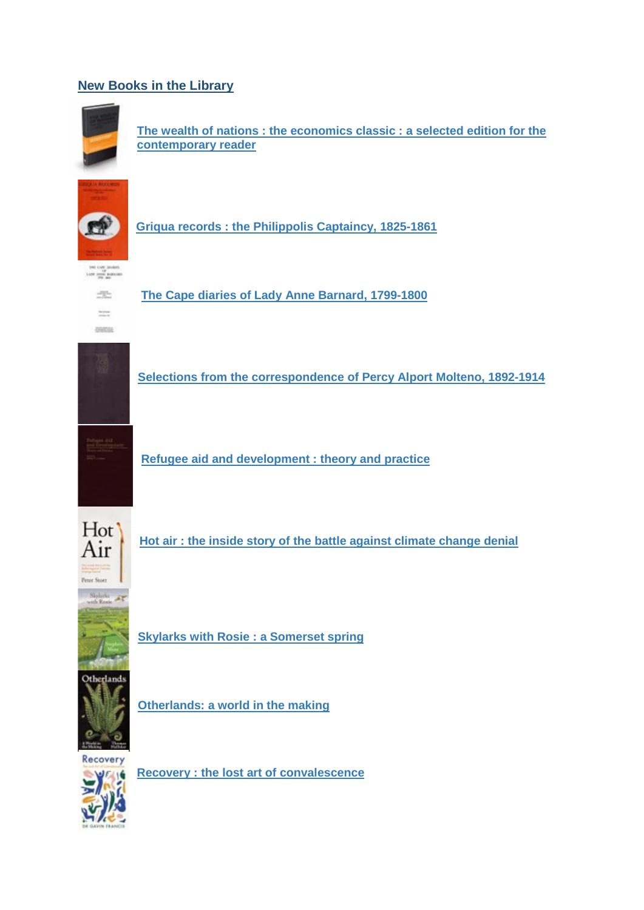## **New Books in the Librar[y](https://solo.bodleian.ox.ac.uk/primo-explore/fulldisplay?docid=oxfaleph017411977&context=L&vid=SOLO&lang=en_US&search_scope=LSCOP_ALL&adaptor=Local%20Search%20Engine&tab=local&query=any,contains,17411977&offset=0)**



**[The wealth of nations : the economics classic : a selected edition for the](https://solo.bodleian.ox.ac.uk/primo-explore/fulldisplay?docid=oxfaleph017411977&context=L&vid=SOLO&lang=en_US&search_scope=LSCOP_ALL&adaptor=Local%20Search%20Engine&tab=local&query=any,contains,17411977&offset=0)  [contemporary reader](https://solo.bodleian.ox.ac.uk/primo-explore/fulldisplay?docid=oxfaleph017411977&context=L&vid=SOLO&lang=en_US&search_scope=LSCOP_ALL&adaptor=Local%20Search%20Engine&tab=local&query=any,contains,17411977&offset=0)**



**[Griqua records : the Philippolis Captaincy, 1825-1861](https://solo.bodleian.ox.ac.uk/primo-explore/fulldisplay?docid=oxfaleph013232808&context=L&vid=SOLO&lang=en_US&search_scope=LSCOP_ALL&adaptor=Local%20Search%20Engine&tab=local&query=any,contains,13232808&offset=0)**



**[The Cape diaries of Lady Anne Barnard, 1799-1800](https://solo.bodleian.ox.ac.uk/primo-explore/fulldisplay?docid=oxfaleph013672676&context=L&vid=SOLO&lang=en_US&search_scope=LSCOP_ALL&adaptor=Local%20Search%20Engine&tab=local&query=any,contains,13672676&offset=0)**



**[Selections from the correspondence of Percy Alport Molteno, 1892-1914](https://solo.bodleian.ox.ac.uk/primo-explore/fulldisplay?docid=oxfaleph010525080&context=L&vid=SOLO&lang=en_US&search_scope=LSCOP_ALL&adaptor=Local%20Search%20Engine&tab=local&query=any,contains,10525080&offset=0)**



**[Refugee aid and development : theory and practice](https://solo.bodleian.ox.ac.uk/primo-explore/fulldisplay?docid=oxfaleph015298196&context=L&vid=SOLO&lang=en_US&search_scope=LSCOP_ALL&adaptor=Local%20Search%20Engine&tab=local&query=any,contains,15298196&offset=0)**



**[Hot air : the inside story of the battle against climate change denial](https://solo.bodleian.ox.ac.uk/primo-explore/fulldisplay?docid=oxfaleph022791741&context=L&vid=SOLO&lang=en_US&search_scope=LSCOP_ALL&adaptor=Local%20Search%20Engine&isFrbr=true&tab=local&query=any,contains,22791741&sortby=rank&facet=frbrgroupid,include,518169962&offset=0)**



Sloboks  $\rightarrow$  $A$ 

**[Skylarks with Rosie : a Somerset spring](https://solo.bodleian.ox.ac.uk/primo-explore/fulldisplay?docid=oxfaleph022791707&context=L&vid=SOLO&lang=en_US&search_scope=LSCOP_ALL&adaptor=Local%20Search%20Engine&isFrbr=true&tab=local&query=any,contains,22791707&sortby=rank&facet=frbrgroupid,include,502469626&offset=0)**



**[Otherlands: a world in the making](https://solo.bodleian.ox.ac.uk/primo-explore/fulldisplay?docid=oxfaleph022787772&context=L&vid=SOLO&lang=en_US&search_scope=LSCOP_ALL&adaptor=Local%20Search%20Engine&isFrbr=true&tab=local&query=any,contains,22787772&sortby=rank&facet=frbrgroupid,include,523093110&offset=0)**



**[Recovery : the lost art of convalescence](https://solo.bodleian.ox.ac.uk/primo-explore/fulldisplay?docid=oxfaleph022763578&context=L&vid=SOLO&lang=en_US&search_scope=LSCOP_ALL&adaptor=Local%20Search%20Engine&isFrbr=true&tab=local&query=any,contains,22763578&sortby=rank&facet=frbrgroupid,include,526517501&offset=0)**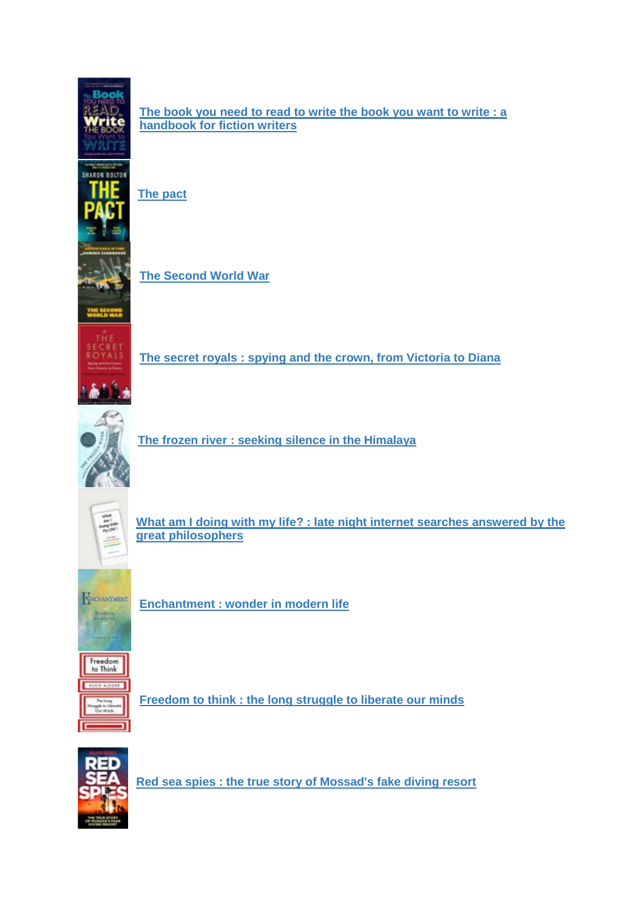

**[The book you need to read to write the book you want to write : a](https://solo.bodleian.ox.ac.uk/primo-explore/fulldisplay?docid=oxfaleph022791689&context=L&vid=SOLO&lang=en_US&search_scope=LSCOP_ALL&adaptor=Local%20Search%20Engine&isFrbr=true&tab=local&query=any,contains,22791689&sortby=rank&facet=frbrgroupid,include,531682885&offset=0)  [handbook for fiction writers](https://solo.bodleian.ox.ac.uk/primo-explore/fulldisplay?docid=oxfaleph022791689&context=L&vid=SOLO&lang=en_US&search_scope=LSCOP_ALL&adaptor=Local%20Search%20Engine&isFrbr=true&tab=local&query=any,contains,22791689&sortby=rank&facet=frbrgroupid,include,531682885&offset=0)**

**[The pact](https://solo.bodleian.ox.ac.uk/primo-explore/fulldisplay?docid=oxfaleph022791697&context=L&vid=SOLO&lang=en_US&search_scope=LSCOP_ALL&adaptor=Local%20Search%20Engine&isFrbr=true&tab=local&query=any,contains,22791697&sortby=rank&facet=frbrgroupid,include,506892674&offset=0)**



**[The Second World War](https://solo.bodleian.ox.ac.uk/primo-explore/fulldisplay?docid=oxfaleph022585329&context=L&vid=SOLO&lang=en_US&search_scope=LSCOP_ALL&adaptor=Local%20Search%20Engine&isFrbr=true&tab=local&query=any,contains,22585329&sortby=rank&facet=frbrgroupid,include,509283750&offset=0)**

**[The secret royals : spying and the crown, from Victoria to Diana](https://solo.bodleian.ox.ac.uk/primo-explore/fulldisplay?docid=oxfaleph022791682&context=L&vid=SOLO&lang=en_US&search_scope=LSCOP_ALL&adaptor=Local%20Search%20Engine&isFrbr=true&tab=local&query=any,contains,22791682&sortby=rank&facet=frbrgroupid,include,518169315&offset=0)**



**[The frozen river : seeking silence in the Himalaya](https://solo.bodleian.ox.ac.uk/primo-explore/fulldisplay?docid=oxfaleph022641393&context=L&vid=SOLO&lang=en_US&search_scope=LSCOP_ALL&adaptor=Local%20Search%20Engine&tab=local&query=any,contains,22641393&offset=0)**



**[What am I doing with my life? : late night internet searches answered by the](https://solo.bodleian.ox.ac.uk/primo-explore/fulldisplay?docid=oxfaleph021680108&context=L&vid=SOLO&lang=en_US&search_scope=LSCOP_ALL&adaptor=Local%20Search%20Engine&tab=local&query=any,contains,21680108&facet=tlevel,include,physical_item&offset=0)  [great philosophers](https://solo.bodleian.ox.ac.uk/primo-explore/fulldisplay?docid=oxfaleph021680108&context=L&vid=SOLO&lang=en_US&search_scope=LSCOP_ALL&adaptor=Local%20Search%20Engine&tab=local&query=any,contains,21680108&facet=tlevel,include,physical_item&offset=0)**



**[Enchantment : wonder in modern life](https://solo.bodleian.ox.ac.uk/primo-explore/fulldisplay?docid=oxfaleph022793343&context=L&vid=SOLO&lang=en_US&search_scope=LSCOP_ALL&adaptor=Local%20Search%20Engine&tab=local&query=any,contains,22793343&offset=0)**



**[Freedom to think : the long struggle to liberate our minds](https://solo.bodleian.ox.ac.uk/primo-explore/fulldisplay?docid=oxfaleph022793333&context=L&vid=SOLO&lang=en_US&search_scope=LSCOP_ALL&adaptor=Local%20Search%20Engine&tab=local&query=any,contains,22793333&offset=0)**



**[Red sea spies : the true story of Mossad's fake diving resort](https://solo.bodleian.ox.ac.uk/primo-explore/fulldisplay?docid=oxfaleph021867447&context=L&vid=SOLO&lang=en_US&search_scope=LSCOP_ALL&adaptor=Local%20Search%20Engine&tab=local&query=any,contains,21867447&offset=0)**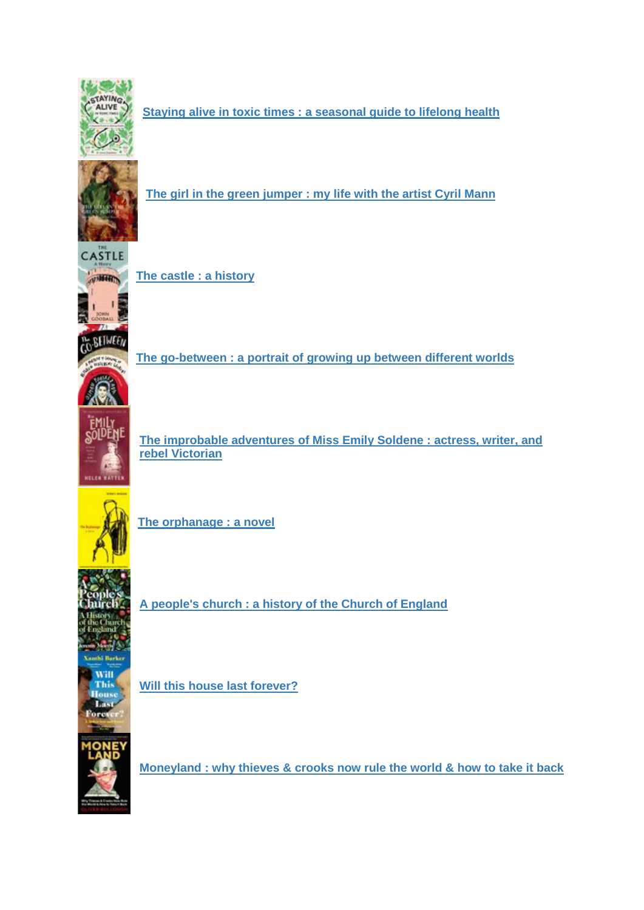

**[Staying alive in toxic times : a seasonal guide to lifelong health](https://solo.bodleian.ox.ac.uk/primo-explore/fulldisplay?docid=oxfaleph022798820&context=L&vid=SOLO&lang=en_US&search_scope=LSCOP_ALL&adaptor=Local%20Search%20Engine&tab=local&query=any,contains,22798820&offset=0)**



**[The girl in the green jumper : my life with the artist Cyril Mann](https://solo.bodleian.ox.ac.uk/primo-explore/fulldisplay?docid=oxfaleph022798810&context=L&vid=SOLO&lang=en_US&search_scope=LSCOP_ALL&adaptor=Local%20Search%20Engine&tab=local&query=any,contains,22798810&offset=0)**



**[The castle : a history](https://solo.bodleian.ox.ac.uk/primo-explore/fulldisplay?docid=oxfaleph022788199&context=L&vid=SOLO&lang=en_US&search_scope=LSCOP_ALL&adaptor=Local%20Search%20Engine&tab=local&query=any,contains,22788199&offset=0)**



**[The go-between : a portrait of growing up between different worlds](https://solo.bodleian.ox.ac.uk/primo-explore/fulldisplay?docid=oxfaleph022798815&context=L&vid=SOLO&lang=en_US&search_scope=LSCOP_ALL&adaptor=Local%20Search%20Engine&tab=local&query=any,contains,22798815&offset=0)**



**[The improbable adventures of Miss Emily Soldene : actress, writer, and](https://solo.bodleian.ox.ac.uk/primo-explore/fulldisplay?docid=oxfaleph022798418&context=L&vid=SOLO&lang=en_US&search_scope=LSCOP_ALL&adaptor=Local%20Search%20Engine&isFrbr=true&tab=local&query=any,contains,22798418&sortby=rank&facet=frbrgroupid,include,512609829&offset=0)  [rebel Victorian](https://solo.bodleian.ox.ac.uk/primo-explore/fulldisplay?docid=oxfaleph022798418&context=L&vid=SOLO&lang=en_US&search_scope=LSCOP_ALL&adaptor=Local%20Search%20Engine&isFrbr=true&tab=local&query=any,contains,22798418&sortby=rank&facet=frbrgroupid,include,512609829&offset=0)**



**[The orphanage : a novel](https://solo.bodleian.ox.ac.uk/primo-explore/fulldisplay?docid=oxfaleph022782090&context=L&vid=SOLO&lang=en_US&search_scope=LSCOP_ALL&adaptor=Local%20Search%20Engine&tab=local&query=any,contains,22782090&offset=0)**



**[A people's church : a history of the Church of England](https://solo.bodleian.ox.ac.uk/primo-explore/fulldisplay?docid=oxfaleph022799231&context=L&vid=SOLO&lang=en_US&search_scope=LSCOP_ALL&adaptor=Local%20Search%20Engine&tab=local&query=any,contains,22799231&offset=0)**



**[Will this house last forever?](https://solo.bodleian.ox.ac.uk/primo-explore/fulldisplay?docid=oxfaleph022799211&context=L&vid=SOLO&lang=en_US&search_scope=LSCOP_ALL&adaptor=Local%20Search%20Engine&isFrbr=true&tab=local&query=any,contains,22799211&sortby=rank&facet=frbrgroupid,include,506893042&offset=0)**



**[Moneyland : why thieves & crooks now rule the world & how to take it back](https://solo.bodleian.ox.ac.uk/primo-explore/fulldisplay?docid=oxfaleph021493746&context=L&vid=SOLO&lang=en_US&search_scope=LSCOP_ALL&adaptor=Local%20Search%20Engine&isFrbr=true&tab=local&query=any,contains,21493746&sortby=rank&facet=frbrgroupid,include,420357643&offset=0)**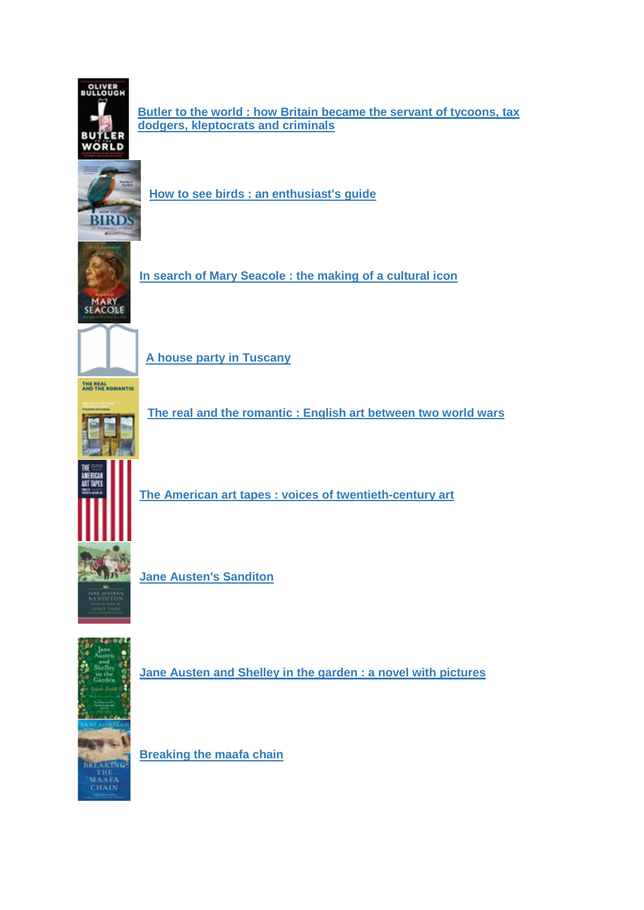

**[Butler to the world : how Britain became the servant of tycoons, tax](https://solo.bodleian.ox.ac.uk/primo-explore/fulldisplay?docid=oxfaleph022782708&context=L&vid=SOLO&lang=en_US&search_scope=LSCOP_ALL&adaptor=Local%20Search%20Engine&tab=local&query=any,contains,22782708&offset=0)  [dodgers, kleptocrats and criminals](https://solo.bodleian.ox.ac.uk/primo-explore/fulldisplay?docid=oxfaleph022782708&context=L&vid=SOLO&lang=en_US&search_scope=LSCOP_ALL&adaptor=Local%20Search%20Engine&tab=local&query=any,contains,22782708&offset=0)**



**[How to see birds : an enthusiast's guide](https://solo.bodleian.ox.ac.uk/primo-explore/fulldisplay?docid=oxfaleph021894858&context=L&vid=SOLO&lang=en_US&search_scope=LSCOP_ALL&adaptor=Local%20Search%20Engine&tab=local&query=any,contains,21894858&offset=0)**



**[In search of Mary Seacole : the making of a cultural icon](https://solo.bodleian.ox.ac.uk/primo-explore/fulldisplay?docid=oxfaleph022769067&context=L&vid=SOLO&lang=en_US&search_scope=LSCOP_ALL&adaptor=Local%20Search%20Engine&tab=local&query=any,contains,22769067&offset=0)**



**[A house party in Tuscany](https://solo.bodleian.ox.ac.uk/primo-explore/fulldisplay?docid=oxfaleph022799249&context=L&vid=SOLO&lang=en_US&search_scope=LSCOP_ALL&adaptor=Local%20Search%20Engine&tab=local&query=any,contains,22799249&offset=0)**



**[The real and the romantic : English art between two world wars](https://solo.bodleian.ox.ac.uk/primo-explore/fulldisplay?docid=oxfaleph022799235&context=L&vid=SOLO&lang=en_US&search_scope=LSCOP_ALL&adaptor=Local%20Search%20Engine&tab=local&query=any,contains,22799235&offset=0)**



**[The American art tapes : voices of twentieth-century art](https://solo.bodleian.ox.ac.uk/primo-explore/fulldisplay?docid=oxfaleph022642802&context=L&vid=SOLO&lang=en_US&search_scope=LSCOP_ALL&adaptor=Local%20Search%20Engine&tab=local&query=any,contains,22642802&offset=0)**



**[Jane Austen's Sanditon](https://solo.bodleian.ox.ac.uk/primo-explore/fulldisplay?docid=oxfaleph021623835&context=L&vid=SOLO&lang=en_US&search_scope=LSCOP_ALL&adaptor=Local%20Search%20Engine&isFrbr=true&tab=local&query=any,contains,21623835&sortby=rank&facet=frbrgroupid,include,233684131&offset=0)**



**[Jane Austen and Shelley in the garden : a novel with pictures](https://solo.bodleian.ox.ac.uk/primo-explore/fulldisplay?docid=oxfaleph022621967&context=L&vid=SOLO&lang=en_US&search_scope=LSCOP_ALL&adaptor=Local%20Search%20Engine&tab=local&query=any,contains,22621967&offset=0)**

**[Breaking the maafa chain](https://solo.bodleian.ox.ac.uk/primo-explore/fulldisplay?docid=oxfaleph022799203&context=L&vid=SOLO&lang=en_US&search_scope=LSCOP_ALL&adaptor=Local%20Search%20Engine&tab=local&query=any,contains,22799203&offset=0)**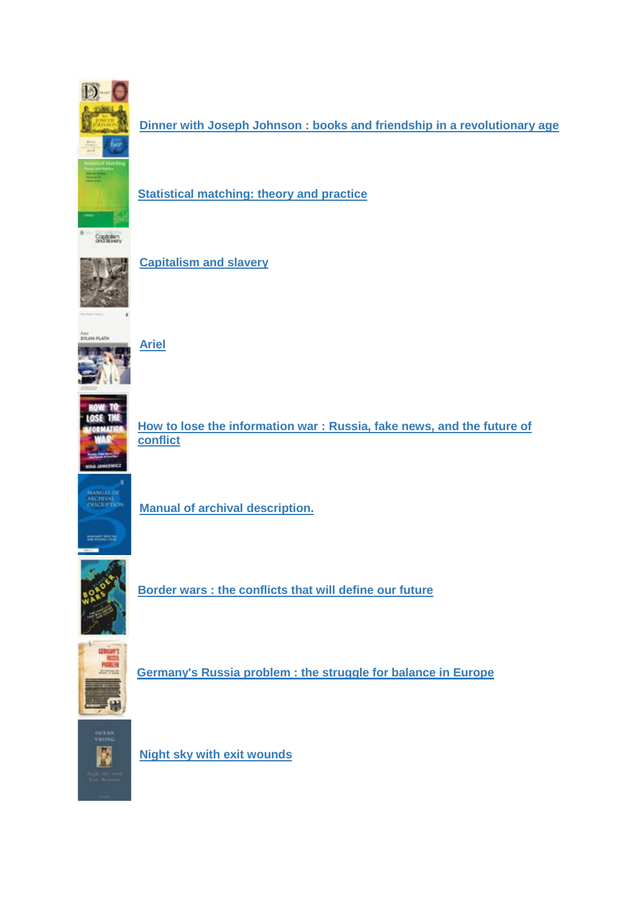

**[Dinner with Joseph Johnson : books and friendship in a revolutionary age](https://solo.bodleian.ox.ac.uk/primo-explore/fulldisplay?docid=oxfaleph022799197&context=L&vid=SOLO&lang=en_US&search_scope=LSCOP_ALL&adaptor=Local%20Search%20Engine&tab=local&query=any,contains,22799197&offset=0)**



**[Statistical matching: theory and practice](https://solo.bodleian.ox.ac.uk/primo-explore/fulldisplay?docid=oxfaleph016149686&context=L&vid=SOLO&lang=en_US&search_scope=LSCOP_ALL&adaptor=Local%20Search%20Engine&tab=local&query=any,contains,16149686&offset=0)**



**[Capitalism and slavery](https://solo.bodleian.ox.ac.uk/primo-explore/fulldisplay?docid=oxfaleph022774030&context=L&vid=SOLO&lang=en_US&search_scope=LSCOP_ALL&adaptor=Local%20Search%20Engine&isFrbr=true&tab=local&query=any,contains,22774030&sortby=rank&facet=frbrgroupid,include,246109753&offset=0)**



**[Ariel](https://solo.bodleian.ox.ac.uk/primo-explore/fulldisplay?docid=oxfaleph020293397&context=L&vid=SOLO&lang=en_US&search_scope=LSCOP_ALL&adaptor=Local%20Search%20Engine&isFrbr=true&tab=local&query=any,contains,20293397&sortby=rank&facet=frbrgroupid,include,233712847&offset=0)**



**[How to lose the information war : Russia, fake news, and the future of](https://solo.bodleian.ox.ac.uk/primo-explore/fulldisplay?docid=oxfaleph022801297&context=L&vid=SOLO&lang=en_US&search_scope=LSCOP_ALL&adaptor=Local%20Search%20Engine&isFrbr=true&tab=local&query=any,contains,22801297&sortby=rank&facet=frbrgroupid,include,484593408&offset=0)  [conflict](https://solo.bodleian.ox.ac.uk/primo-explore/fulldisplay?docid=oxfaleph022801297&context=L&vid=SOLO&lang=en_US&search_scope=LSCOP_ALL&adaptor=Local%20Search%20Engine&isFrbr=true&tab=local&query=any,contains,22801297&sortby=rank&facet=frbrgroupid,include,484593408&offset=0)**



**[Manual of archival description.](https://solo.bodleian.ox.ac.uk/primo-explore/fulldisplay?docid=oxfaleph015008394&context=L&vid=SOLO&lang=en_US&search_scope=LSCOP_ALL&adaptor=Local%20Search%20Engine&tab=local&query=any,contains,15008394&offset=0)**



**[Border wars : the conflicts that will define our future](https://solo.bodleian.ox.ac.uk/primo-explore/fulldisplay?docid=oxfaleph022783985&context=L&vid=SOLO&lang=en_US&search_scope=LSCOP_ALL&adaptor=Local%20Search%20Engine&isFrbr=true&tab=local&query=any,contains,22783985&sortby=rank&facet=frbrgroupid,include,520911193&offset=0)**



**[Germany's Russia problem : the struggle for balance in Europe](https://solo.bodleian.ox.ac.uk/primo-explore/fulldisplay?docid=oxfaleph022801295&context=L&vid=SOLO&lang=en_US&search_scope=LSCOP_ALL&adaptor=Local%20Search%20Engine&isFrbr=true&tab=local&query=any,contains,22801295&sortby=rank&facet=frbrgroupid,include,510328039&offset=0)**



**[Night sky with exit wounds](https://solo.bodleian.ox.ac.uk/primo-explore/fulldisplay?docid=oxfaleph020815742&context=L&vid=SOLO&lang=en_US&search_scope=LSCOP_ALL&adaptor=Local%20Search%20Engine&isFrbr=true&tab=local&query=any,contains,20815742&sortby=rank&facet=frbrgroupid,include,354145948&offset=0)**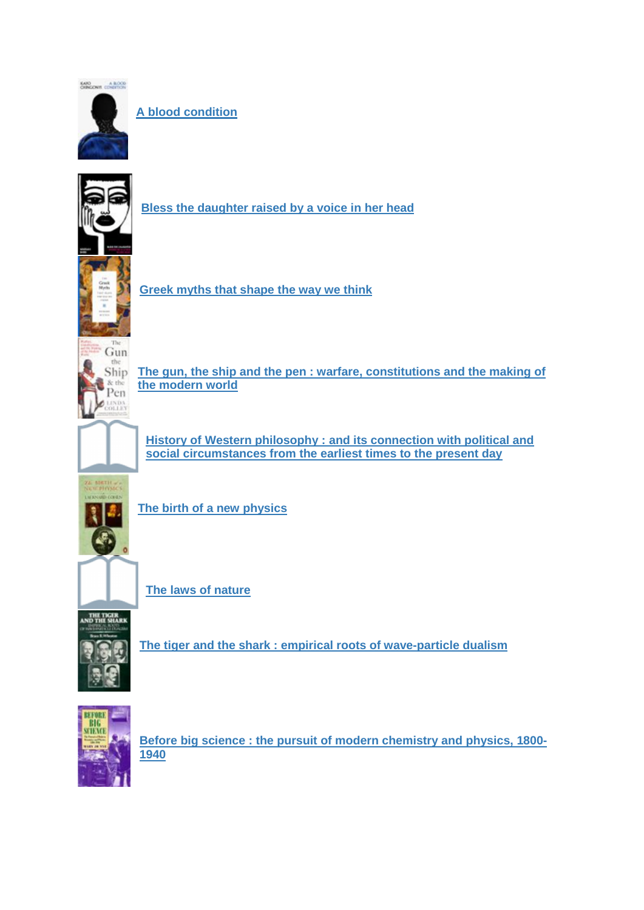

**[A blood condition](https://solo.bodleian.ox.ac.uk/primo-explore/fulldisplay?docid=oxfaleph022545998&context=L&vid=SOLO&lang=en_US&search_scope=LSCOP_ALL&adaptor=Local%20Search%20Engine&isFrbr=true&tab=local&query=any,contains,22545998&sortby=rank&facet=frbrgroupid,include,501168769&offset=0)**



**[Bless the daughter raised by a voice in her head](https://solo.bodleian.ox.ac.uk/primo-explore/fulldisplay?docid=oxfaleph022777908&context=L&vid=SOLO&lang=en_US&search_scope=LSCOP_ALL&adaptor=Local%20Search%20Engine&isFrbr=true&tab=local&query=any,contains,22777908&sortby=rank&facet=frbrgroupid,include,529214429&offset=0)**



**[Greek myths that shape the way we think](https://solo.bodleian.ox.ac.uk/primo-explore/fulldisplay?docid=oxfaleph022802175&context=L&vid=SOLO&lang=en_US&search_scope=LSCOP_ALL&adaptor=Local%20Search%20Engine&tab=local&query=any,contains,22802175&offset=0)**



**[The gun, the ship and the pen : warfare, constitutions and the making of](https://solo.bodleian.ox.ac.uk/primo-explore/fulldisplay?docid=oxfaleph022554548&context=L&vid=SOLO&lang=en_US&search_scope=LSCOP_ALL&adaptor=Local%20Search%20Engine&isFrbr=true&tab=local&query=any,contains,22554548&sortby=rank&facet=frbrgroupid,include,502302192&offset=0)  [the modern world](https://solo.bodleian.ox.ac.uk/primo-explore/fulldisplay?docid=oxfaleph022554548&context=L&vid=SOLO&lang=en_US&search_scope=LSCOP_ALL&adaptor=Local%20Search%20Engine&isFrbr=true&tab=local&query=any,contains,22554548&sortby=rank&facet=frbrgroupid,include,502302192&offset=0)**



**[History of Western philosophy : and its connection with political and](https://solo.bodleian.ox.ac.uk/primo-explore/fulldisplay?docid=oxfaleph010562507&context=L&vid=SOLO&lang=en_US&search_scope=LSCOP_ALL&adaptor=Local%20Search%20Engine&isFrbr=true&tab=local&query=any,contains,10562507&sortby=rank&facet=frbrgroupid,include,233968561&offset=0)  [social circumstances from the earliest times to the present day](https://solo.bodleian.ox.ac.uk/primo-explore/fulldisplay?docid=oxfaleph010562507&context=L&vid=SOLO&lang=en_US&search_scope=LSCOP_ALL&adaptor=Local%20Search%20Engine&isFrbr=true&tab=local&query=any,contains,10562507&sortby=rank&facet=frbrgroupid,include,233968561&offset=0)**



**[The birth of a new physics](https://solo.bodleian.ox.ac.uk/primo-explore/fulldisplay?docid=oxfaleph022517160&context=L&vid=SOLO&lang=en_US&search_scope=LSCOP_ALL&adaptor=Local%20Search%20Engine&isFrbr=true&tab=local&query=any,contains,22517160&sortby=rank&facet=frbrgroupid,include,234085525&offset=0)**



**[The laws of nature](https://solo.bodleian.ox.ac.uk/primo-explore/fulldisplay?docid=oxfaleph011151635&context=L&vid=SOLO&lang=en_US&search_scope=LSCOP_ALL&adaptor=Local%20Search%20Engine&tab=local&query=any,contains,11151635&offset=0)**



**[The tiger and the shark : empirical roots of wave-particle dualism](https://solo.bodleian.ox.ac.uk/primo-explore/fulldisplay?docid=oxfaleph010958266&context=L&vid=SOLO&lang=en_US&search_scope=LSCOP_ALL&adaptor=Local%20Search%20Engine&isFrbr=true&tab=local&query=any,contains,10958266&sortby=rank&facet=frbrgroupid,include,234403483&offset=0)**



**[Before big science : the pursuit of modern chemistry and physics, 1800-](https://solo.bodleian.ox.ac.uk/primo-explore/fulldisplay?docid=oxfaleph013596434&context=L&vid=SOLO&lang=en_US&search_scope=LSCOP_ALL&adaptor=Local%20Search%20Engine&isFrbr=true&tab=local&query=any,contains,13596434&sortby=rank&facet=frbrgroupid,include,236696423&offset=0) [1940](https://solo.bodleian.ox.ac.uk/primo-explore/fulldisplay?docid=oxfaleph013596434&context=L&vid=SOLO&lang=en_US&search_scope=LSCOP_ALL&adaptor=Local%20Search%20Engine&isFrbr=true&tab=local&query=any,contains,13596434&sortby=rank&facet=frbrgroupid,include,236696423&offset=0)**